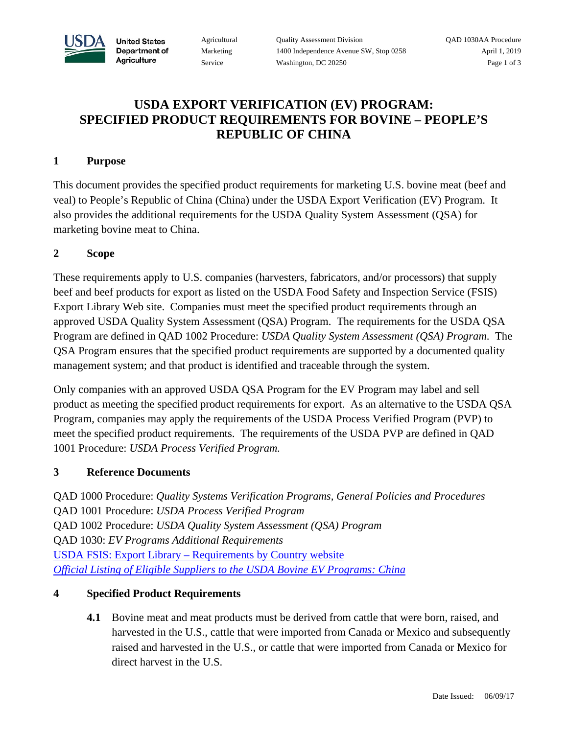

**United States** Department of Agriculture

Agricultural Quality Assessment Division QAD 1030AA Procedure Marketing 1400 Independence Avenue SW, Stop 0258 April 1, 2019 Service Washington, DC 20250 Page 1 of 3

# **USDA EXPORT VERIFICATION (EV) PROGRAM: SPECIFIED PRODUCT REQUIREMENTS FOR BOVINE – PEOPLE'S REPUBLIC OF CHINA**

### **1 Purpose**

This document provides the specified product requirements for marketing U.S. bovine meat (beef and veal) to People's Republic of China (China) under the USDA Export Verification (EV) Program. It also provides the additional requirements for the USDA Quality System Assessment (QSA) for marketing bovine meat to China.

## **2 Scope**

These requirements apply to U.S. companies (harvesters, fabricators, and/or processors) that supply beef and beef products for export as listed on the USDA Food Safety and Inspection Service (FSIS) Export Library Web site. Companies must meet the specified product requirements through an approved USDA Quality System Assessment (QSA) Program. The requirements for the USDA QSA Program are defined in QAD 1002 Procedure: *USDA Quality System Assessment (QSA) Program*. The QSA Program ensures that the specified product requirements are supported by a documented quality management system; and that product is identified and traceable through the system.

Only companies with an approved USDA QSA Program for the EV Program may label and sell product as meeting the specified product requirements for export. As an alternative to the USDA QSA Program, companies may apply the requirements of the USDA Process Verified Program (PVP) to meet the specified product requirements. The requirements of the USDA PVP are defined in QAD 1001 Procedure: *USDA Process Verified Program.*

#### **3 Reference Documents**

QAD 1000 Procedure: *Quality Systems Verification Programs, General Policies and Procedures* QAD 1001 Procedure: *USDA Process Verified Program* QAD 1002 Procedure: *USDA Quality System Assessment (QSA) Program* QAD 1030: *EV Programs Additional Requirements* USDA FSIS: Export Library – [Requirements by Country website](https://www.fsis.usda.gov/wps/portal/fsis/topics/international-affairs/exporting-products/export-library-requirements-by-country) *[Official Listing of Eligible Suppliers to the USDA Bovine EV Programs: China](https://www.ams.usda.gov/services/imports-exports/bovine-ovine-and-caprine-export-verification-programs)*

#### **4 Specified Product Requirements**

**4.1** Bovine meat and meat products must be derived from cattle that were born, raised, and harvested in the U.S., cattle that were imported from Canada or Mexico and subsequently raised and harvested in the U.S., or cattle that were imported from Canada or Mexico for direct harvest in the U.S.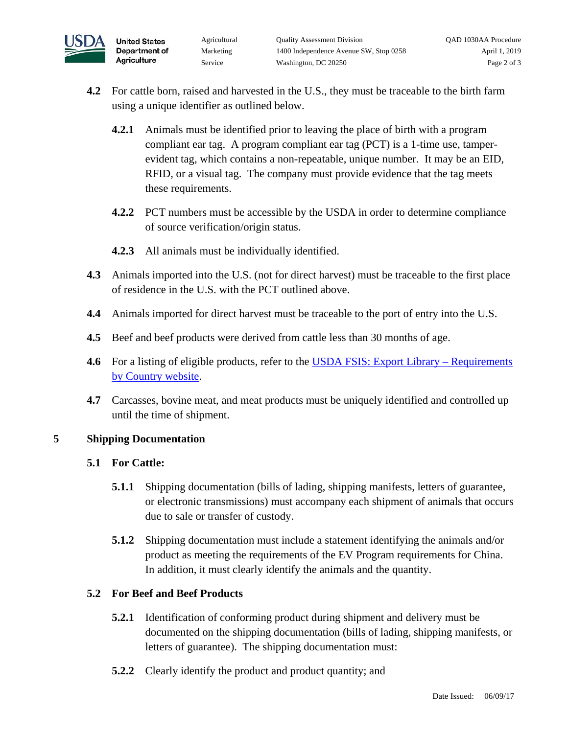

- **4.2** For cattle born, raised and harvested in the U.S., they must be traceable to the birth farm using a unique identifier as outlined below.
	- **4.2.1** Animals must be identified prior to leaving the place of birth with a program compliant ear tag. A program compliant ear tag (PCT) is a 1-time use, tamperevident tag, which contains a non-repeatable, unique number. It may be an EID, RFID, or a visual tag. The company must provide evidence that the tag meets these requirements.
	- **4.2.2** PCT numbers must be accessible by the USDA in order to determine compliance of source verification/origin status.
	- **4.2.3** All animals must be individually identified.
- **4.3** Animals imported into the U.S. (not for direct harvest) must be traceable to the first place of residence in the U.S. with the PCT outlined above.
- **4.4** Animals imported for direct harvest must be traceable to the port of entry into the U.S.
- **4.5** Beef and beef products were derived from cattle less than 30 months of age.
- **4.6** For a listing of eligible products, refer to the [USDA FSIS: Export Library –](https://www.fsis.usda.gov/wps/portal/fsis/topics/international-affairs/exporting-products/export-library-requirements-by-country) Requirements [by Country website.](https://www.fsis.usda.gov/wps/portal/fsis/topics/international-affairs/exporting-products/export-library-requirements-by-country)
- **4.7** Carcasses, bovine meat, and meat products must be uniquely identified and controlled up until the time of shipment.

#### **5 Shipping Documentation**

# **5.1 For Cattle:**

- **5.1.1** Shipping documentation (bills of lading, shipping manifests, letters of guarantee, or electronic transmissions) must accompany each shipment of animals that occurs due to sale or transfer of custody.
- **5.1.2** Shipping documentation must include a statement identifying the animals and/or product as meeting the requirements of the EV Program requirements for China. In addition, it must clearly identify the animals and the quantity.

# **5.2 For Beef and Beef Products**

- **5.2.1** Identification of conforming product during shipment and delivery must be documented on the shipping documentation (bills of lading, shipping manifests, or letters of guarantee). The shipping documentation must:
- **5.2.2** Clearly identify the product and product quantity; and